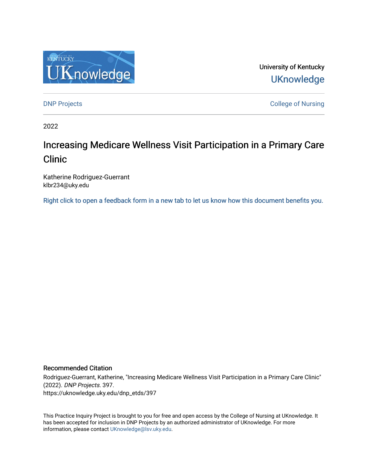

University of Kentucky **UKnowledge** 

[DNP Projects](https://uknowledge.uky.edu/dnp_etds) **College of Nursing** 

2022

# Increasing Medicare Wellness Visit Participation in a Primary Care Clinic

Katherine Rodriguez-Guerrant klbr234@uky.edu

[Right click to open a feedback form in a new tab to let us know how this document benefits you.](https://uky.az1.qualtrics.com/jfe/form/SV_9mq8fx2GnONRfz7)

### Recommended Citation

Rodriguez-Guerrant, Katherine, "Increasing Medicare Wellness Visit Participation in a Primary Care Clinic" (2022). DNP Projects. 397. https://uknowledge.uky.edu/dnp\_etds/397

This Practice Inquiry Project is brought to you for free and open access by the College of Nursing at UKnowledge. It has been accepted for inclusion in DNP Projects by an authorized administrator of UKnowledge. For more information, please contact [UKnowledge@lsv.uky.edu](mailto:UKnowledge@lsv.uky.edu).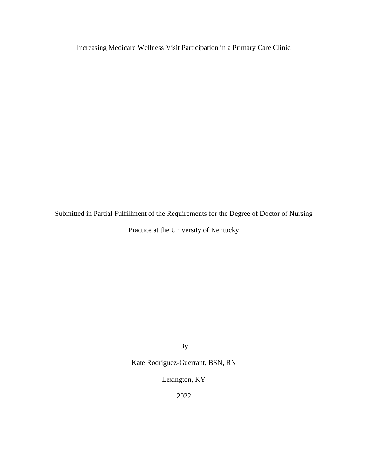Increasing Medicare Wellness Visit Participation in a Primary Care Clinic

Submitted in Partial Fulfillment of the Requirements for the Degree of Doctor of Nursing

Practice at the University of Kentucky

By

Kate Rodriguez-Guerrant, BSN, RN

Lexington, KY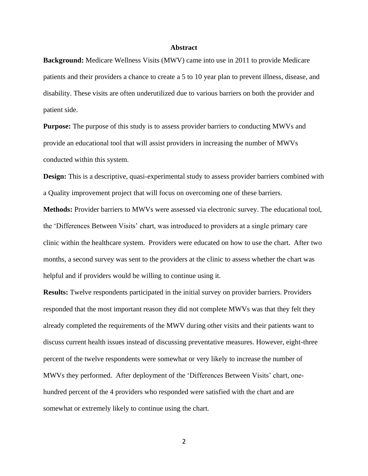### **Abstract**

<span id="page-2-0"></span>**Background:** Medicare Wellness Visits (MWV) came into use in 2011 to provide Medicare patients and their providers a chance to create a 5 to 10 year plan to prevent illness, disease, and disability. These visits are often underutilized due to various barriers on both the provider and patient side.

**Purpose:** The purpose of this study is to assess provider barriers to conducting MWVs and provide an educational tool that will assist providers in increasing the number of MWVs conducted within this system.

**Design:** This is a descriptive, quasi-experimental study to assess provider barriers combined with a Quality improvement project that will focus on overcoming one of these barriers.

**Methods:** Provider barriers to MWVs were assessed via electronic survey. The educational tool, the 'Differences Between Visits' chart, was introduced to providers at a single primary care clinic within the healthcare system. Providers were educated on how to use the chart. After two months, a second survey was sent to the providers at the clinic to assess whether the chart was helpful and if providers would be willing to continue using it.

**Results:** Twelve respondents participated in the initial survey on provider barriers. Providers responded that the most important reason they did not complete MWVs was that they felt they already completed the requirements of the MWV during other visits and their patients want to discuss current health issues instead of discussing preventative measures. However, eight-three percent of the twelve respondents were somewhat or very likely to increase the number of MWVs they performed. After deployment of the 'Differences Between Visits' chart, onehundred percent of the 4 providers who responded were satisfied with the chart and are somewhat or extremely likely to continue using the chart.

 $\mathfrak{Z}$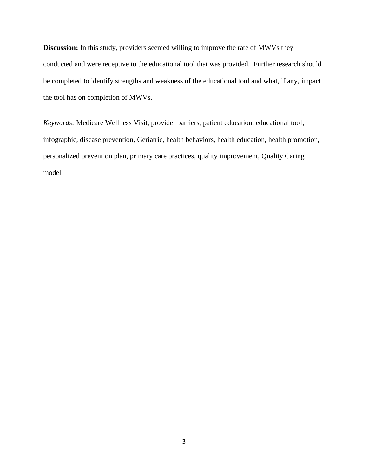**Discussion:** In this study, providers seemed willing to improve the rate of MWVs they conducted and were receptive to the educational tool that was provided. Further research should be completed to identify strengths and weakness of the educational tool and what, if any, impact the tool has on completion of MWVs.

*Keywords:* Medicare Wellness Visit, provider barriers, patient education, educational tool, infographic, disease prevention, Geriatric, health behaviors, health education, health promotion, personalized prevention plan, primary care practices, quality improvement, Quality Caring model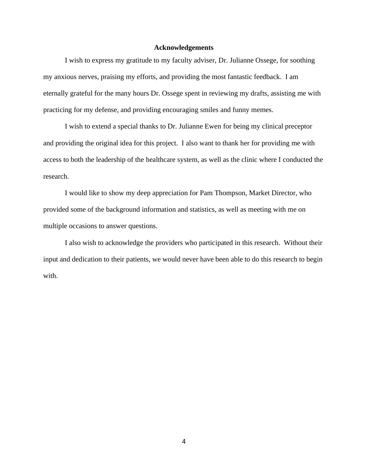### **Acknowledgements**

<span id="page-4-0"></span>I wish to express my gratitude to my faculty adviser, Dr. Julianne Ossege, for soothing my anxious nerves, praising my efforts, and providing the most fantastic feedback. I am eternally grateful for the many hours Dr. Ossege spent in reviewing my drafts, assisting me with practicing for my defense, and providing encouraging smiles and funny memes.

I wish to extend a special thanks to Dr. Julianne Ewen for being my clinical preceptor and providing the original idea for this project. I also want to thank her for providing me with access to both the leadership of the healthcare system, as well as the clinic where I conducted the research.

I would like to show my deep appreciation for Pam Thompson, Market Director, who provided some of the background information and statistics, as well as meeting with me on multiple occasions to answer questions.

I also wish to acknowledge the providers who participated in this research. Without their input and dedication to their patients, we would never have been able to do this research to begin with.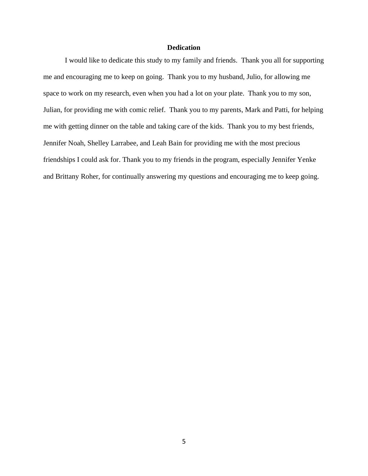### **Dedication**

<span id="page-5-0"></span>I would like to dedicate this study to my family and friends. Thank you all for supporting me and encouraging me to keep on going. Thank you to my husband, Julio, for allowing me space to work on my research, even when you had a lot on your plate. Thank you to my son, Julian, for providing me with comic relief. Thank you to my parents, Mark and Patti, for helping me with getting dinner on the table and taking care of the kids. Thank you to my best friends, Jennifer Noah, Shelley Larrabee, and Leah Bain for providing me with the most precious friendships I could ask for. Thank you to my friends in the program, especially Jennifer Yenke and Brittany Roher, for continually answering my questions and encouraging me to keep going.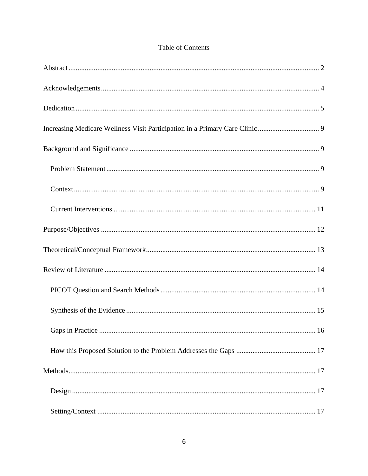| <b>Table of Contents</b> |  |
|--------------------------|--|
|--------------------------|--|

| 16 |
|----|
|    |
|    |
|    |
|    |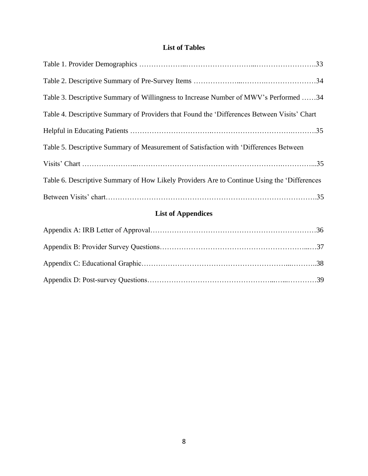# **List of Tables**

| Table 3. Descriptive Summary of Willingness to Increase Number of MWV's Performed 34        |
|---------------------------------------------------------------------------------------------|
| Table 4. Descriptive Summary of Providers that Found the 'Differences Between Visits' Chart |
|                                                                                             |
| Table 5. Descriptive Summary of Measurement of Satisfaction with 'Differences Between       |
|                                                                                             |
| Table 6. Descriptive Summary of How Likely Providers Are to Continue Using the 'Differences |
|                                                                                             |

# **List of Appendices**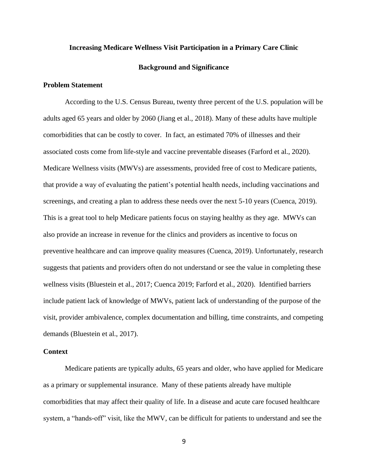### <span id="page-9-0"></span>**Increasing Medicare Wellness Visit Participation in a Primary Care Clinic**

### **Background and Significance**

### <span id="page-9-2"></span><span id="page-9-1"></span>**Problem Statement**

According to the U.S. Census Bureau, twenty three percent of the U.S. population will be adults aged 65 years and older by 2060 (Jiang et al., 2018). Many of these adults have multiple comorbidities that can be costly to cover. In fact, an estimated 70% of illnesses and their associated costs come from life-style and vaccine preventable diseases (Farford et al., 2020). Medicare Wellness visits (MWVs) are assessments, provided free of cost to Medicare patients, that provide a way of evaluating the patient's potential health needs, including vaccinations and screenings, and creating a plan to address these needs over the next 5-10 years (Cuenca, 2019). This is a great tool to help Medicare patients focus on staying healthy as they age. MWVs can also provide an increase in revenue for the clinics and providers as incentive to focus on preventive healthcare and can improve quality measures (Cuenca, 2019). Unfortunately, research suggests that patients and providers often do not understand or see the value in completing these wellness visits (Bluestein et al., 2017; Cuenca 2019; Farford et al., 2020). Identified barriers include patient lack of knowledge of MWVs, patient lack of understanding of the purpose of the visit, provider ambivalence, complex documentation and billing, time constraints, and competing demands (Bluestein et al., 2017).

### <span id="page-9-3"></span>**Context**

Medicare patients are typically adults, 65 years and older, who have applied for Medicare as a primary or supplemental insurance. Many of these patients already have multiple comorbidities that may affect their quality of life. In a disease and acute care focused healthcare system, a "hands-off" visit, like the MWV, can be difficult for patients to understand and see the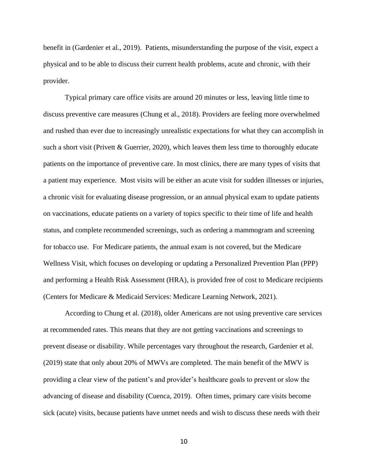benefit in (Gardenier et al., 2019). Patients, misunderstanding the purpose of the visit, expect a physical and to be able to discuss their current health problems, acute and chronic, with their provider.

Typical primary care office visits are around 20 minutes or less, leaving little time to discuss preventive care measures (Chung et al., 2018). Providers are feeling more overwhelmed and rushed than ever due to increasingly unrealistic expectations for what they can accomplish in such a short visit (Privett & Guerrier, 2020), which leaves them less time to thoroughly educate patients on the importance of preventive care. In most clinics, there are many types of visits that a patient may experience. Most visits will be either an acute visit for sudden illnesses or injuries, a chronic visit for evaluating disease progression, or an annual physical exam to update patients on vaccinations, educate patients on a variety of topics specific to their time of life and health status, and complete recommended screenings, such as ordering a mammogram and screening for tobacco use. For Medicare patients, the annual exam is not covered, but the Medicare Wellness Visit, which focuses on developing or updating a Personalized Prevention Plan (PPP) and performing a Health Risk Assessment (HRA), is provided free of cost to Medicare recipients (Centers for Medicare & Medicaid Services: Medicare Learning Network, 2021).

According to Chung et al. (2018), older Americans are not using preventive care services at recommended rates. This means that they are not getting vaccinations and screenings to prevent disease or disability. While percentages vary throughout the research, Gardenier et al. (2019) state that only about 20% of MWVs are completed. The main benefit of the MWV is providing a clear view of the patient's and provider's healthcare goals to prevent or slow the advancing of disease and disability (Cuenca, 2019). Often times, primary care visits become sick (acute) visits, because patients have unmet needs and wish to discuss these needs with their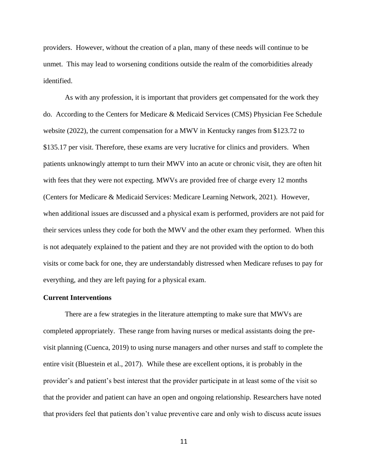providers. However, without the creation of a plan, many of these needs will continue to be unmet. This may lead to worsening conditions outside the realm of the comorbidities already identified.

As with any profession, it is important that providers get compensated for the work they do. According to the Centers for Medicare & Medicaid Services (CMS) Physician Fee Schedule website (2022), the current compensation for a MWV in Kentucky ranges from \$123.72 to \$135.17 per visit. Therefore, these exams are very lucrative for clinics and providers. When patients unknowingly attempt to turn their MWV into an acute or chronic visit, they are often hit with fees that they were not expecting. MWVs are provided free of charge every 12 months (Centers for Medicare & Medicaid Services: Medicare Learning Network, 2021). However, when additional issues are discussed and a physical exam is performed, providers are not paid for their services unless they code for both the MWV and the other exam they performed. When this is not adequately explained to the patient and they are not provided with the option to do both visits or come back for one, they are understandably distressed when Medicare refuses to pay for everything, and they are left paying for a physical exam.

### <span id="page-11-0"></span>**Current Interventions**

There are a few strategies in the literature attempting to make sure that MWVs are completed appropriately. These range from having nurses or medical assistants doing the previsit planning (Cuenca, 2019) to using nurse managers and other nurses and staff to complete the entire visit (Bluestein et al., 2017). While these are excellent options, it is probably in the provider's and patient's best interest that the provider participate in at least some of the visit so that the provider and patient can have an open and ongoing relationship. Researchers have noted that providers feel that patients don't value preventive care and only wish to discuss acute issues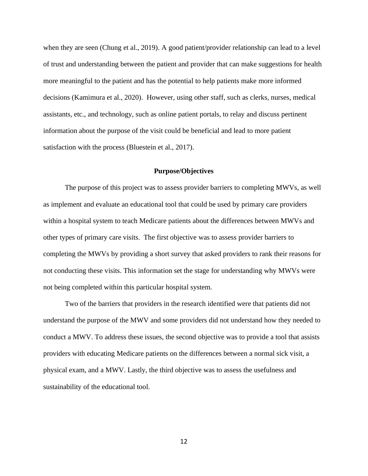when they are seen (Chung et al., 2019). A good patient/provider relationship can lead to a level of trust and understanding between the patient and provider that can make suggestions for health more meaningful to the patient and has the potential to help patients make more informed decisions (Kamimura et al., 2020). However, using other staff, such as clerks, nurses, medical assistants, etc., and technology, such as online patient portals, to relay and discuss pertinent information about the purpose of the visit could be beneficial and lead to more patient satisfaction with the process (Bluestein et al., 2017).

### **Purpose/Objectives**

<span id="page-12-0"></span>The purpose of this project was to assess provider barriers to completing MWVs, as well as implement and evaluate an educational tool that could be used by primary care providers within a hospital system to teach Medicare patients about the differences between MWVs and other types of primary care visits. The first objective was to assess provider barriers to completing the MWVs by providing a short survey that asked providers to rank their reasons for not conducting these visits. This information set the stage for understanding why MWVs were not being completed within this particular hospital system.

Two of the barriers that providers in the research identified were that patients did not understand the purpose of the MWV and some providers did not understand how they needed to conduct a MWV. To address these issues, the second objective was to provide a tool that assists providers with educating Medicare patients on the differences between a normal sick visit, a physical exam, and a MWV. Lastly, the third objective was to assess the usefulness and sustainability of the educational tool.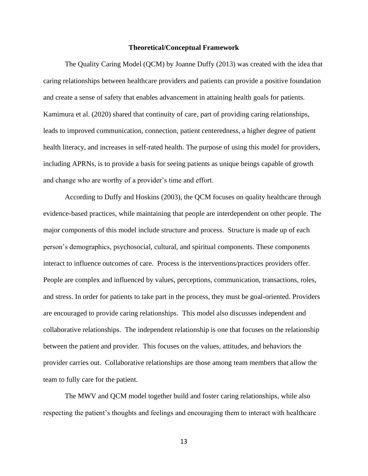#### **Theoretical/Conceptual Framework**

<span id="page-13-0"></span>The Quality Caring Model (QCM) by Joanne Duffy (2013) was created with the idea that caring relationships between healthcare providers and patients can provide a positive foundation and create a sense of safety that enables advancement in attaining health goals for patients. Kamimura et al. (2020) shared that continuity of care, part of providing caring relationships, leads to improved communication, connection, patient centeredness, a higher degree of patient health literacy, and increases in self-rated health. The purpose of using this model for providers, including APRNs, is to provide a basis for seeing patients as unique beings capable of growth and change who are worthy of a provider's time and effort.

According to Duffy and Hoskins (2003), the QCM focuses on quality healthcare through evidence-based practices, while maintaining that people are interdependent on other people. The major components of this model include structure and process. Structure is made up of each person's demographics, psychosocial, cultural, and spiritual components. These components interact to influence outcomes of care. Process is the interventions/practices providers offer. People are complex and influenced by values, perceptions, communication, transactions, roles, and stress. In order for patients to take part in the process, they must be goal-oriented. Providers are encouraged to provide caring relationships. This model also discusses independent and collaborative relationships. The independent relationship is one that focuses on the relationship between the patient and provider. This focuses on the values, attitudes, and behaviors the provider carries out. Collaborative relationships are those among team members that allow the team to fully care for the patient.

The MWV and QCM model together build and foster caring relationships, while also respecting the patient's thoughts and feelings and encouraging them to interact with healthcare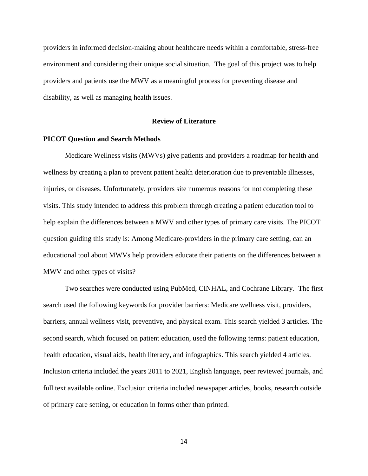providers in informed decision-making about healthcare needs within a comfortable, stress-free environment and considering their unique social situation. The goal of this project was to help providers and patients use the MWV as a meaningful process for preventing disease and disability, as well as managing health issues.

### **Review of Literature**

### <span id="page-14-1"></span><span id="page-14-0"></span>**PICOT Question and Search Methods**

Medicare Wellness visits (MWVs) give patients and providers a roadmap for health and wellness by creating a plan to prevent patient health deterioration due to preventable illnesses, injuries, or diseases. Unfortunately, providers site numerous reasons for not completing these visits. This study intended to address this problem through creating a patient education tool to help explain the differences between a MWV and other types of primary care visits. The PICOT question guiding this study is: Among Medicare-providers in the primary care setting, can an educational tool about MWVs help providers educate their patients on the differences between a MWV and other types of visits?

Two searches were conducted using PubMed, CINHAL, and Cochrane Library. The first search used the following keywords for provider barriers: Medicare wellness visit, providers, barriers, annual wellness visit, preventive, and physical exam. This search yielded 3 articles. The second search, which focused on patient education, used the following terms: patient education, health education, visual aids, health literacy, and infographics. This search yielded 4 articles. Inclusion criteria included the years 2011 to 2021, English language, peer reviewed journals, and full text available online. Exclusion criteria included newspaper articles, books, research outside of primary care setting, or education in forms other than printed.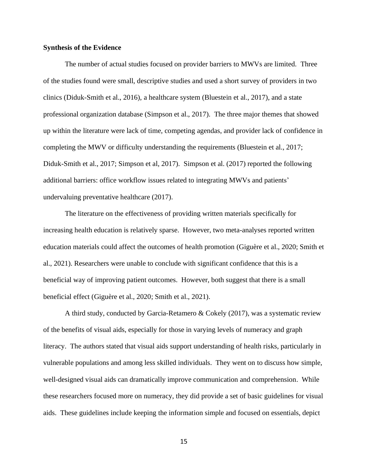### <span id="page-15-0"></span>**Synthesis of the Evidence**

The number of actual studies focused on provider barriers to MWVs are limited. Three of the studies found were small, descriptive studies and used a short survey of providers in two clinics (Diduk-Smith et al., 2016), a healthcare system (Bluestein et al., 2017), and a state professional organization database (Simpson et al., 2017). The three major themes that showed up within the literature were lack of time, competing agendas, and provider lack of confidence in completing the MWV or difficulty understanding the requirements (Bluestein et al., 2017; Diduk-Smith et al., 2017; Simpson et al, 2017). Simpson et al. (2017) reported the following additional barriers: office workflow issues related to integrating MWVs and patients' undervaluing preventative healthcare (2017).

The literature on the effectiveness of providing written materials specifically for increasing health education is relatively sparse. However, two meta-analyses reported written education materials could affect the outcomes of health promotion (Giguère et al., 2020; Smith et al., 2021). Researchers were unable to conclude with significant confidence that this is a beneficial way of improving patient outcomes. However, both suggest that there is a small beneficial effect (Giguère et al., 2020; Smith et al., 2021).

A third study, conducted by Garcia-Retamero & Cokely (2017), was a systematic review of the benefits of visual aids, especially for those in varying levels of numeracy and graph literacy. The authors stated that visual aids support understanding of health risks, particularly in vulnerable populations and among less skilled individuals. They went on to discuss how simple, well-designed visual aids can dramatically improve communication and comprehension. While these researchers focused more on numeracy, they did provide a set of basic guidelines for visual aids. These guidelines include keeping the information simple and focused on essentials, depict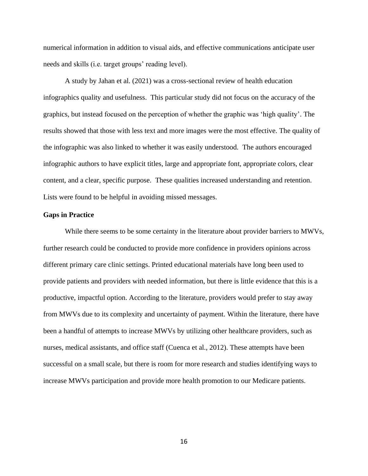numerical information in addition to visual aids, and effective communications anticipate user needs and skills (i.e. target groups' reading level).

A study by Jahan et al. (2021) was a cross-sectional review of health education infographics quality and usefulness. This particular study did not focus on the accuracy of the graphics, but instead focused on the perception of whether the graphic was 'high quality'. The results showed that those with less text and more images were the most effective. The quality of the infographic was also linked to whether it was easily understood. The authors encouraged infographic authors to have explicit titles, large and appropriate font, appropriate colors, clear content, and a clear, specific purpose. These qualities increased understanding and retention. Lists were found to be helpful in avoiding missed messages.

### <span id="page-16-0"></span>**Gaps in Practice**

While there seems to be some certainty in the literature about provider barriers to MWVs, further research could be conducted to provide more confidence in providers opinions across different primary care clinic settings. Printed educational materials have long been used to provide patients and providers with needed information, but there is little evidence that this is a productive, impactful option. According to the literature, providers would prefer to stay away from MWVs due to its complexity and uncertainty of payment. Within the literature, there have been a handful of attempts to increase MWVs by utilizing other healthcare providers, such as nurses, medical assistants, and office staff (Cuenca et al., 2012). These attempts have been successful on a small scale, but there is room for more research and studies identifying ways to increase MWVs participation and provide more health promotion to our Medicare patients.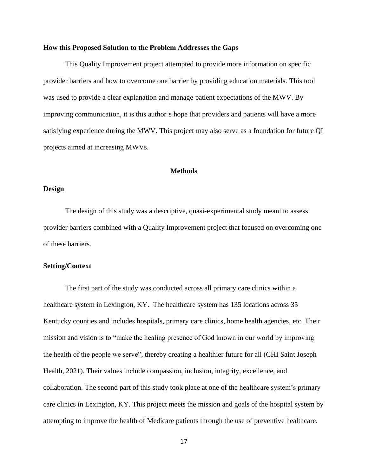### <span id="page-17-0"></span>**How this Proposed Solution to the Problem Addresses the Gaps**

This Quality Improvement project attempted to provide more information on specific provider barriers and how to overcome one barrier by providing education materials. This tool was used to provide a clear explanation and manage patient expectations of the MWV. By improving communication, it is this author's hope that providers and patients will have a more satisfying experience during the MWV. This project may also serve as a foundation for future QI projects aimed at increasing MWVs.

### **Methods**

### <span id="page-17-2"></span><span id="page-17-1"></span>**Design**

The design of this study was a descriptive, quasi-experimental study meant to assess provider barriers combined with a Quality Improvement project that focused on overcoming one of these barriers.

### <span id="page-17-3"></span>**Setting/Context**

The first part of the study was conducted across all primary care clinics within a healthcare system in Lexington, KY. The healthcare system has 135 locations across 35 Kentucky counties and includes hospitals, primary care clinics, home health agencies, etc. Their mission and vision is to "make the healing presence of God known in our world by improving the health of the people we serve", thereby creating a healthier future for all (CHI Saint Joseph Health, 2021). Their values include compassion, inclusion, integrity, excellence, and collaboration. The second part of this study took place at one of the healthcare system's primary care clinics in Lexington, KY. This project meets the mission and goals of the hospital system by attempting to improve the health of Medicare patients through the use of preventive healthcare.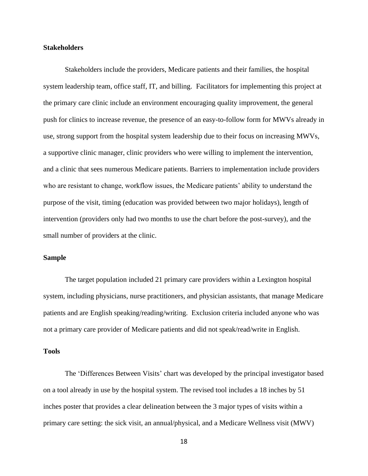### <span id="page-18-0"></span>**Stakeholders**

Stakeholders include the providers, Medicare patients and their families, the hospital system leadership team, office staff, IT, and billing. Facilitators for implementing this project at the primary care clinic include an environment encouraging quality improvement, the general push for clinics to increase revenue, the presence of an easy-to-follow form for MWVs already in use, strong support from the hospital system leadership due to their focus on increasing MWVs, a supportive clinic manager, clinic providers who were willing to implement the intervention, and a clinic that sees numerous Medicare patients. Barriers to implementation include providers who are resistant to change, workflow issues, the Medicare patients' ability to understand the purpose of the visit, timing (education was provided between two major holidays), length of intervention (providers only had two months to use the chart before the post-survey), and the small number of providers at the clinic.

### <span id="page-18-1"></span>**Sample**

The target population included 21 primary care providers within a Lexington hospital system, including physicians, nurse practitioners, and physician assistants, that manage Medicare patients and are English speaking/reading/writing. Exclusion criteria included anyone who was not a primary care provider of Medicare patients and did not speak/read/write in English.

### <span id="page-18-2"></span>**Tools**

The 'Differences Between Visits' chart was developed by the principal investigator based on a tool already in use by the hospital system. The revised tool includes a 18 inches by 51 inches poster that provides a clear delineation between the 3 major types of visits within a primary care setting: the sick visit, an annual/physical, and a Medicare Wellness visit (MWV)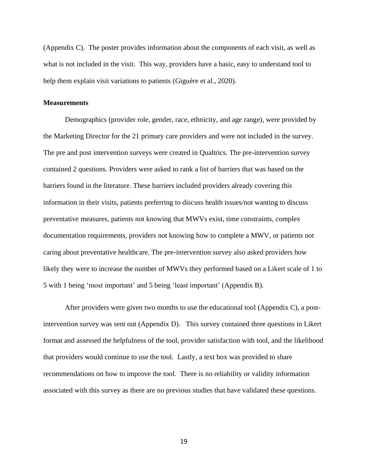(Appendix C). The poster provides information about the components of each visit, as well as what is not included in the visit. This way, providers have a basic, easy to understand tool to help them explain visit variations to patients (Giguère et al., 2020).

### <span id="page-19-0"></span>**Measurements**

Demographics (provider role, gender, race, ethnicity, and age range), were provided by the Marketing Director for the 21 primary care providers and were not included in the survey. The pre and post intervention surveys were created in Qualtrics. The pre-intervention survey contained 2 questions. Providers were asked to rank a list of barriers that was based on the barriers found in the literature. These barriers included providers already covering this information in their visits, patients preferring to discuss health issues/not wanting to discuss preventative measures, patients not knowing that MWVs exist, time constraints, complex documentation requirements, providers not knowing how to complete a MWV, or patients not caring about preventative healthcare. The pre-intervention survey also asked providers how likely they were to increase the number of MWVs they performed based on a Likert scale of 1 to 5 with 1 being 'most important' and 5 being 'least important' (Appendix B).

After providers were given two months to use the educational tool (Appendix C), a postintervention survey was sent out (Appendix D). This survey contained three questions in Likert format and assessed the helpfulness of the tool, provider satisfaction with tool, and the likelihood that providers would continue to use the tool. Lastly, a text box was provided to share recommendations on how to improve the tool. There is no reliability or validity information associated with this survey as there are no previous studies that have validated these questions.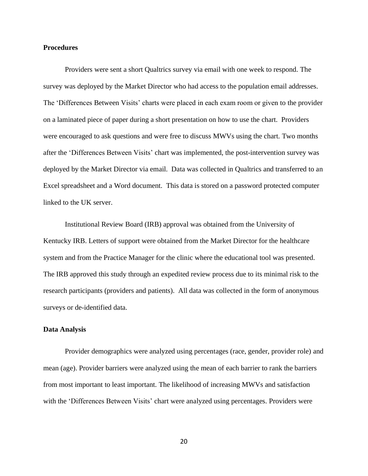### <span id="page-20-0"></span>**Procedures**

Providers were sent a short Qualtrics survey via email with one week to respond. The survey was deployed by the Market Director who had access to the population email addresses. The 'Differences Between Visits' charts were placed in each exam room or given to the provider on a laminated piece of paper during a short presentation on how to use the chart. Providers were encouraged to ask questions and were free to discuss MWVs using the chart. Two months after the 'Differences Between Visits' chart was implemented, the post-intervention survey was deployed by the Market Director via email. Data was collected in Qualtrics and transferred to an Excel spreadsheet and a Word document. This data is stored on a password protected computer linked to the UK server.

Institutional Review Board (IRB) approval was obtained from the University of Kentucky IRB. Letters of support were obtained from the Market Director for the healthcare system and from the Practice Manager for the clinic where the educational tool was presented. The IRB approved this study through an expedited review process due to its minimal risk to the research participants (providers and patients). All data was collected in the form of anonymous surveys or de-identified data.

#### <span id="page-20-1"></span>**Data Analysis**

Provider demographics were analyzed using percentages (race, gender, provider role) and mean (age). Provider barriers were analyzed using the mean of each barrier to rank the barriers from most important to least important. The likelihood of increasing MWVs and satisfaction with the 'Differences Between Visits' chart were analyzed using percentages. Providers were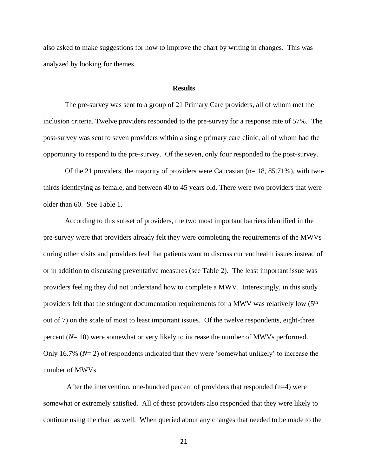also asked to make suggestions for how to improve the chart by writing in changes. This was analyzed by looking for themes.

#### **Results**

<span id="page-21-0"></span>The pre-survey was sent to a group of 21 Primary Care providers, all of whom met the inclusion criteria. Twelve providers responded to the pre-survey for a response rate of 57%. The post-survey was sent to seven providers within a single primary care clinic, all of whom had the opportunity to respond to the pre-survey. Of the seven, only four responded to the post-survey.

Of the 21 providers, the majority of providers were Caucasian  $(n= 18, 85.71\%)$ , with twothirds identifying as female, and between 40 to 45 years old. There were two providers that were older than 60. See Table 1.

According to this subset of providers, the two most important barriers identified in the pre-survey were that providers already felt they were completing the requirements of the MWVs during other visits and providers feel that patients want to discuss current health issues instead of or in addition to discussing preventative measures (see Table 2). The least important issue was providers feeling they did not understand how to complete a MWV. Interestingly, in this study providers felt that the stringent documentation requirements for a MWV was relatively low (5<sup>th</sup>) out of 7) on the scale of most to least important issues. Of the twelve respondents, eight-three percent (*N*= 10) were somewhat or very likely to increase the number of MWVs performed. Only 16.7% (*N*= 2) of respondents indicated that they were 'somewhat unlikely' to increase the number of MWVs.

After the intervention, one-hundred percent of providers that responded  $(n=4)$  were somewhat or extremely satisfied. All of these providers also responded that they were likely to continue using the chart as well. When queried about any changes that needed to be made to the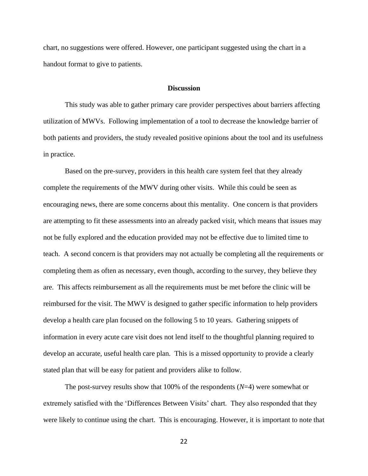chart, no suggestions were offered. However, one participant suggested using the chart in a handout format to give to patients.

### **Discussion**

<span id="page-22-0"></span>This study was able to gather primary care provider perspectives about barriers affecting utilization of MWVs. Following implementation of a tool to decrease the knowledge barrier of both patients and providers, the study revealed positive opinions about the tool and its usefulness in practice.

Based on the pre-survey, providers in this health care system feel that they already complete the requirements of the MWV during other visits. While this could be seen as encouraging news, there are some concerns about this mentality. One concern is that providers are attempting to fit these assessments into an already packed visit, which means that issues may not be fully explored and the education provided may not be effective due to limited time to teach. A second concern is that providers may not actually be completing all the requirements or completing them as often as necessary, even though, according to the survey, they believe they are. This affects reimbursement as all the requirements must be met before the clinic will be reimbursed for the visit. The MWV is designed to gather specific information to help providers develop a health care plan focused on the following 5 to 10 years. Gathering snippets of information in every acute care visit does not lend itself to the thoughtful planning required to develop an accurate, useful health care plan. This is a missed opportunity to provide a clearly stated plan that will be easy for patient and providers alike to follow.

The post-survey results show that 100% of the respondents (*N*=4) were somewhat or extremely satisfied with the 'Differences Between Visits' chart. They also responded that they were likely to continue using the chart. This is encouraging. However, it is important to note that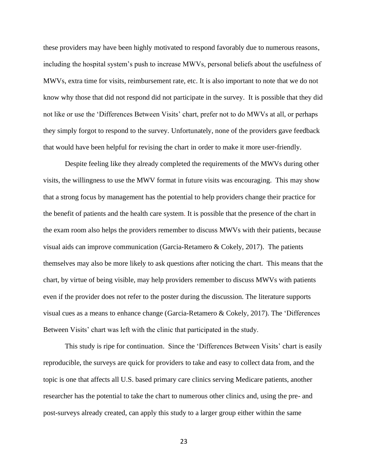these providers may have been highly motivated to respond favorably due to numerous reasons, including the hospital system's push to increase MWVs, personal beliefs about the usefulness of MWVs, extra time for visits, reimbursement rate, etc. It is also important to note that we do not know why those that did not respond did not participate in the survey. It is possible that they did not like or use the 'Differences Between Visits' chart, prefer not to do MWVs at all, or perhaps they simply forgot to respond to the survey. Unfortunately, none of the providers gave feedback that would have been helpful for revising the chart in order to make it more user-friendly.

Despite feeling like they already completed the requirements of the MWVs during other visits, the willingness to use the MWV format in future visits was encouraging. This may show that a strong focus by management has the potential to help providers change their practice for the benefit of patients and the health care system. It is possible that the presence of the chart in the exam room also helps the providers remember to discuss MWVs with their patients, because visual aids can improve communication (Garcia-Retamero & Cokely, 2017). The patients themselves may also be more likely to ask questions after noticing the chart. This means that the chart, by virtue of being visible, may help providers remember to discuss MWVs with patients even if the provider does not refer to the poster during the discussion. The literature supports visual cues as a means to enhance change (Garcia-Retamero & Cokely, 2017). The 'Differences Between Visits' chart was left with the clinic that participated in the study.

This study is ripe for continuation. Since the 'Differences Between Visits' chart is easily reproducible, the surveys are quick for providers to take and easy to collect data from, and the topic is one that affects all U.S. based primary care clinics serving Medicare patients, another researcher has the potential to take the chart to numerous other clinics and, using the pre- and post-surveys already created, can apply this study to a larger group either within the same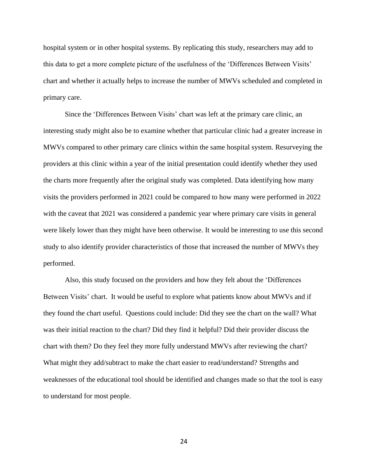hospital system or in other hospital systems. By replicating this study, researchers may add to this data to get a more complete picture of the usefulness of the 'Differences Between Visits' chart and whether it actually helps to increase the number of MWVs scheduled and completed in primary care.

Since the 'Differences Between Visits' chart was left at the primary care clinic, an interesting study might also be to examine whether that particular clinic had a greater increase in MWVs compared to other primary care clinics within the same hospital system. Resurveying the providers at this clinic within a year of the initial presentation could identify whether they used the charts more frequently after the original study was completed. Data identifying how many visits the providers performed in 2021 could be compared to how many were performed in 2022 with the caveat that 2021 was considered a pandemic year where primary care visits in general were likely lower than they might have been otherwise. It would be interesting to use this second study to also identify provider characteristics of those that increased the number of MWVs they performed.

Also, this study focused on the providers and how they felt about the 'Differences Between Visits' chart. It would be useful to explore what patients know about MWVs and if they found the chart useful. Questions could include: Did they see the chart on the wall? What was their initial reaction to the chart? Did they find it helpful? Did their provider discuss the chart with them? Do they feel they more fully understand MWVs after reviewing the chart? What might they add/subtract to make the chart easier to read/understand? Strengths and weaknesses of the educational tool should be identified and changes made so that the tool is easy to understand for most people.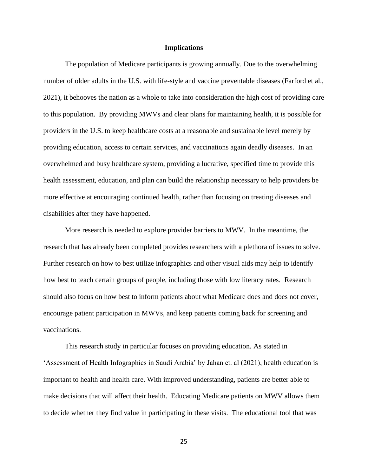#### **Implications**

<span id="page-25-0"></span>The population of Medicare participants is growing annually. Due to the overwhelming number of older adults in the U.S. with life-style and vaccine preventable diseases (Farford et al., 2021), it behooves the nation as a whole to take into consideration the high cost of providing care to this population. By providing MWVs and clear plans for maintaining health, it is possible for providers in the U.S. to keep healthcare costs at a reasonable and sustainable level merely by providing education, access to certain services, and vaccinations again deadly diseases. In an overwhelmed and busy healthcare system, providing a lucrative, specified time to provide this health assessment, education, and plan can build the relationship necessary to help providers be more effective at encouraging continued health, rather than focusing on treating diseases and disabilities after they have happened.

More research is needed to explore provider barriers to MWV. In the meantime, the research that has already been completed provides researchers with a plethora of issues to solve. Further research on how to best utilize infographics and other visual aids may help to identify how best to teach certain groups of people, including those with low literacy rates. Research should also focus on how best to inform patients about what Medicare does and does not cover, encourage patient participation in MWVs, and keep patients coming back for screening and vaccinations.

This research study in particular focuses on providing education. As stated in 'Assessment of Health Infographics in Saudi Arabia' by Jahan et. al (2021), health education is important to health and health care. With improved understanding, patients are better able to make decisions that will affect their health. Educating Medicare patients on MWV allows them to decide whether they find value in participating in these visits. The educational tool that was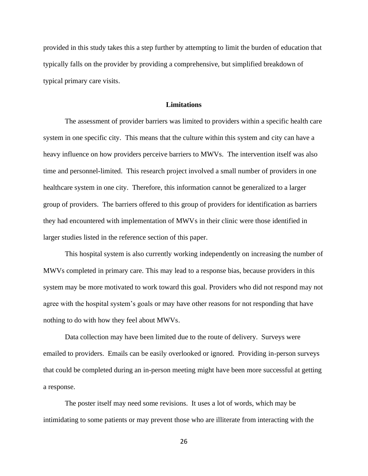provided in this study takes this a step further by attempting to limit the burden of education that typically falls on the provider by providing a comprehensive, but simplified breakdown of typical primary care visits.

#### **Limitations**

<span id="page-26-0"></span>The assessment of provider barriers was limited to providers within a specific health care system in one specific city. This means that the culture within this system and city can have a heavy influence on how providers perceive barriers to MWVs. The intervention itself was also time and personnel-limited. This research project involved a small number of providers in one healthcare system in one city. Therefore, this information cannot be generalized to a larger group of providers. The barriers offered to this group of providers for identification as barriers they had encountered with implementation of MWVs in their clinic were those identified in larger studies listed in the reference section of this paper.

This hospital system is also currently working independently on increasing the number of MWVs completed in primary care. This may lead to a response bias, because providers in this system may be more motivated to work toward this goal. Providers who did not respond may not agree with the hospital system's goals or may have other reasons for not responding that have nothing to do with how they feel about MWVs.

Data collection may have been limited due to the route of delivery. Surveys were emailed to providers. Emails can be easily overlooked or ignored. Providing in-person surveys that could be completed during an in-person meeting might have been more successful at getting a response.

The poster itself may need some revisions. It uses a lot of words, which may be intimidating to some patients or may prevent those who are illiterate from interacting with the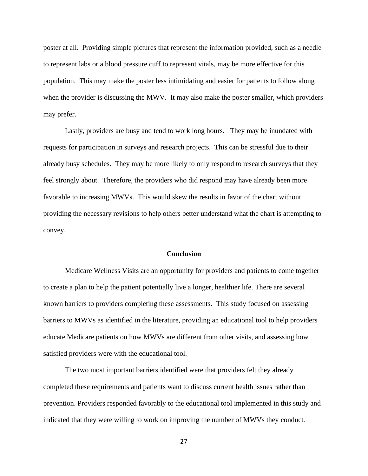poster at all. Providing simple pictures that represent the information provided, such as a needle to represent labs or a blood pressure cuff to represent vitals, may be more effective for this population. This may make the poster less intimidating and easier for patients to follow along when the provider is discussing the MWV. It may also make the poster smaller, which providers may prefer.

Lastly, providers are busy and tend to work long hours. They may be inundated with requests for participation in surveys and research projects. This can be stressful due to their already busy schedules. They may be more likely to only respond to research surveys that they feel strongly about. Therefore, the providers who did respond may have already been more favorable to increasing MWVs. This would skew the results in favor of the chart without providing the necessary revisions to help others better understand what the chart is attempting to convey.

### **Conclusion**

<span id="page-27-0"></span>Medicare Wellness Visits are an opportunity for providers and patients to come together to create a plan to help the patient potentially live a longer, healthier life. There are several known barriers to providers completing these assessments. This study focused on assessing barriers to MWVs as identified in the literature, providing an educational tool to help providers educate Medicare patients on how MWVs are different from other visits, and assessing how satisfied providers were with the educational tool.

The two most important barriers identified were that providers felt they already completed these requirements and patients want to discuss current health issues rather than prevention. Providers responded favorably to the educational tool implemented in this study and indicated that they were willing to work on improving the number of MWVs they conduct.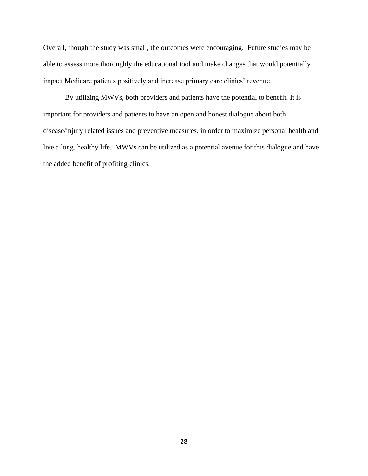Overall, though the study was small, the outcomes were encouraging. Future studies may be able to assess more thoroughly the educational tool and make changes that would potentially impact Medicare patients positively and increase primary care clinics' revenue.

By utilizing MWVs, both providers and patients have the potential to benefit. It is important for providers and patients to have an open and honest dialogue about both disease/injury related issues and preventive measures, in order to maximize personal health and live a long, healthy life. MWVs can be utilized as a potential avenue for this dialogue and have the added benefit of profiting clinics.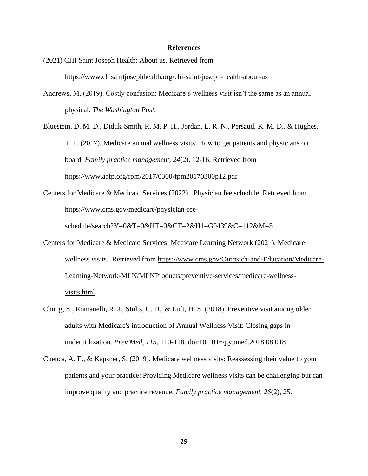### **References**

<span id="page-29-0"></span>(2021) CHI Saint Joseph Health: About us. Retrieved from <https://www.chisaintjosephhealth.org/chi-saint-joseph-health-about-us>

Andrews, M. (2019). Costly confusion: Medicare's wellness visit isn't the same as an annual physical. *The Washington Post*.

Bluestein, D. M. D., Diduk-Smith, R. M. P. H., Jordan, L. R. N., Persaud, K. M. D., & Hughes, T. P. (2017). Medicare annual wellness visits: How to get patients and physicians on board. *Family practice management, 24*(2), 12-16. Retrieved from <https://www.aafp.org/fpm/2017/0300/fpm20170300p12.pdf>

Centers for Medicare & Medicaid Services (2022). Physician fee schedule. Retrieved from [https://www.cms.gov/medicare/physician-fee-](https://www.cms.gov/medicare/physician-fee-schedule/search?Y=0&T=0&HT=0&CT=2&H1=G0439&C=112&M=5)

[schedule/search?Y=0&T=0&HT=0&CT=2&H1=G0439&C=112&M=5](https://www.cms.gov/medicare/physician-fee-schedule/search?Y=0&T=0&HT=0&CT=2&H1=G0439&C=112&M=5)

- Centers for Medicare & Medicaid Services: Medicare Learning Network (2021). Medicare wellness visits. Retrieved from [https://www.cms.gov/Outreach-and-Education/Medicare-](https://www.cms.gov/Outreach-and-Education/Medicare-Learning-Network-MLN/MLNProducts/preventive-services/medicare-wellness-visits.html)[Learning-Network-MLN/MLNProducts/preventive-services/medicare-wellness](https://www.cms.gov/Outreach-and-Education/Medicare-Learning-Network-MLN/MLNProducts/preventive-services/medicare-wellness-visits.html)[visits.html](https://www.cms.gov/Outreach-and-Education/Medicare-Learning-Network-MLN/MLNProducts/preventive-services/medicare-wellness-visits.html)
- Chung, S., Romanelli, R. J., Stults, C. D., & Luft, H. S. (2018). Preventive visit among older adults with Medicare's introduction of Annual Wellness Visit: Closing gaps in underutilization. *Prev Med, 115*, 110-118. doi:10.1016/j.ypmed.2018.08.018
- Cuenca, A. E., & Kapsner, S. (2019). Medicare wellness visits: Reassessing their value to your patients and your practice: Providing Medicare wellness visits can be challenging but can improve quality and practice revenue. *Family practice management, 26*(2), 25.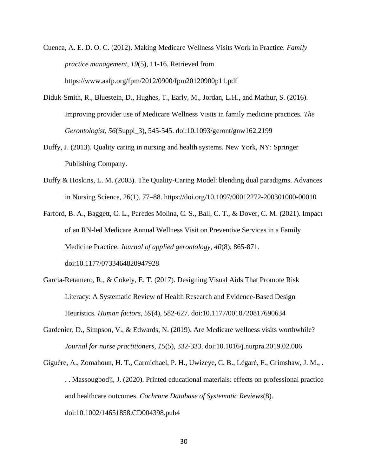Cuenca, A. E. D. O. C. (2012). Making Medicare Wellness Visits Work in Practice. *Family practice management, 19*(5), 11-16. Retrieved from [https://www.aafp.org/fpm/2012/0900/fpm20120900p11.pdf](about:blank)

- Diduk-Smith, R., Bluestein, D., Hughes, T., Early, M., Jordan, L.H., and Mathur, S. (2016). Improving provider use of Medicare Wellness Visits in family medicine practices. *The Gerontologist, 56*(Suppl\_3), 545-545. doi:10.1093/geront/gnw162.2199
- Duffy, J. (2013). Quality caring in nursing and health systems. New York, NY: Springer Publishing Company.
- Duffy & Hoskins, L. M. (2003). The Quality-Caring Model: blending dual paradigms. Advances in Nursing Science, 26(1), 77–88. https://doi.org/10.1097/00012272-200301000-00010
- Farford, B. A., Baggett, C. L., Paredes Molina, C. S., Ball, C. T., & Dover, C. M. (2021). Impact of an RN-led Medicare Annual Wellness Visit on Preventive Services in a Family Medicine Practice. *Journal of applied gerontology, 40*(8), 865-871. doi:10.1177/0733464820947928
- Garcia-Retamero, R., & Cokely, E. T. (2017). Designing Visual Aids That Promote Risk Literacy: A Systematic Review of Health Research and Evidence-Based Design Heuristics. *Human factors, 59*(4), 582-627. doi:10.1177/0018720817690634
- Gardenier, D., Simpson, V., & Edwards, N. (2019). Are Medicare wellness visits worthwhile? *Journal for nurse practitioners, 15*(5), 332-333. doi:10.1016/j.nurpra.2019.02.006
- Giguère, A., Zomahoun, H. T., Carmichael, P. H., Uwizeye, C. B., Légaré, F., Grimshaw, J. M., . . . Massougbodji, J. (2020). Printed educational materials: effects on professional practice and healthcare outcomes. *Cochrane Database of Systematic Reviews*(8). doi:10.1002/14651858.CD004398.pub4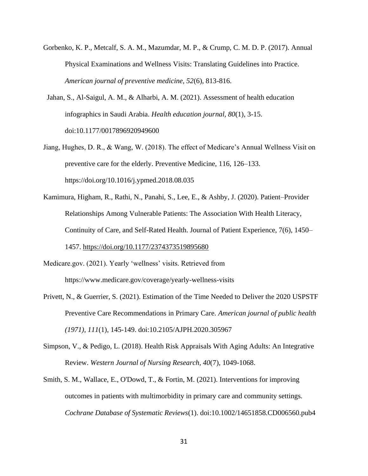- Gorbenko, K. P., Metcalf, S. A. M., Mazumdar, M. P., & Crump, C. M. D. P. (2017). Annual Physical Examinations and Wellness Visits: Translating Guidelines into Practice. *American journal of preventive medicine, 52*(6), 813-816.
- Jahan, S., Al-Saigul, A. M., & Alharbi, A. M. (2021). Assessment of health education infographics in Saudi Arabia. *Health education journal, 80*(1), 3-15. doi:10.1177/0017896920949600
- Jiang, Hughes, D. R., & Wang, W. (2018). The effect of Medicare's Annual Wellness Visit on preventive care for the elderly. Preventive Medicine, 116, 126–133. https://doi.org/10.1016/j.ypmed.2018.08.035
- Kamimura, Higham, R., Rathi, N., Panahi, S., Lee, E., & Ashby, J. (2020). Patient–Provider Relationships Among Vulnerable Patients: The Association With Health Literacy, Continuity of Care, and Self-Rated Health. Journal of Patient Experience, 7(6), 1450– 1457.<https://doi.org/10.1177/2374373519895680>
- Medicare.gov. (2021). Yearly 'wellness' visits. Retrieved from <https://www.medicare.gov/coverage/yearly-wellness-visits>
- Privett, N., & Guerrier, S. (2021). Estimation of the Time Needed to Deliver the 2020 USPSTF Preventive Care Recommendations in Primary Care. *American journal of public health (1971), 111*(1), 145-149. doi:10.2105/AJPH.2020.305967
- Simpson, V., & Pedigo, L. (2018). Health Risk Appraisals With Aging Adults: An Integrative Review. *Western Journal of Nursing Research, 40*(7), 1049-1068.
- Smith, S. M., Wallace, E., O'Dowd, T., & Fortin, M. (2021). Interventions for improving outcomes in patients with multimorbidity in primary care and community settings. *Cochrane Database of Systematic Reviews*(1). doi:10.1002/14651858.CD006560.pub4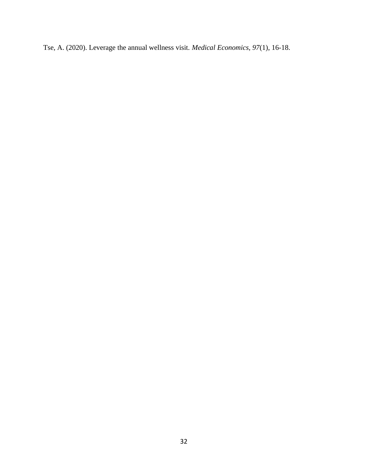Tse, A. (2020). Leverage the annual wellness visit. *Medical Economics, 97*(1), 16-18.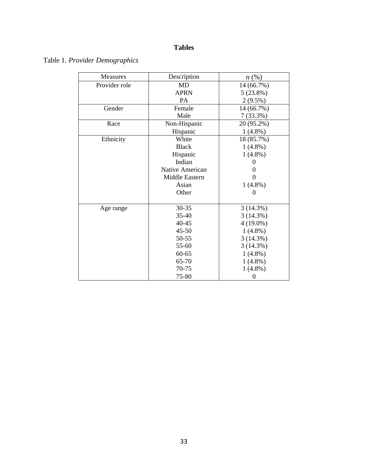# **Tables**

# Table 1. *Provider Demographics*

| <b>Measures</b> | Description     | $n\left(\%\right)$ |
|-----------------|-----------------|--------------------|
| Provider role   | MD              | 14 (66.7%)         |
|                 | <b>APRN</b>     | $5(23.8\%)$        |
|                 | PA              | $2(9.5\%)$         |
| Gender          | Female          | 14 (66.7%)         |
|                 | Male            | 7(33.3%)           |
| Race            | Non-Hispanic    | 20 (95.2%)         |
|                 | Hispanic        | $1(4.8\%)$         |
| Ethnicity       | White           | 18 (85.7%)         |
|                 | <b>Black</b>    | $1(4.8\%)$         |
|                 | Hispanic        | $1(4.8\%)$         |
|                 | Indian          | 0                  |
|                 | Native American |                    |
|                 | Middle Eastern  |                    |
|                 | Asian           | $1(4.8\%)$         |
|                 | Other           | 0                  |
|                 |                 |                    |
| Age range       | $30 - 35$       | 3(14.3%)           |
|                 | $35 - 40$       | 3(14.3%)           |
|                 | $40 - 45$       | $4(19.0\%)$        |
|                 | 45-50           | $1(4.8\%)$         |
|                 | 50-55           | 3(14.3%)           |
|                 | 55-60           | 3(14.3%)           |
|                 | $60 - 65$       | $1(4.8\%)$         |
|                 | 65-70           | $1(4.8\%)$         |
|                 | 70-75           | $1(4.8\%)$         |
|                 | 75-80           | 0                  |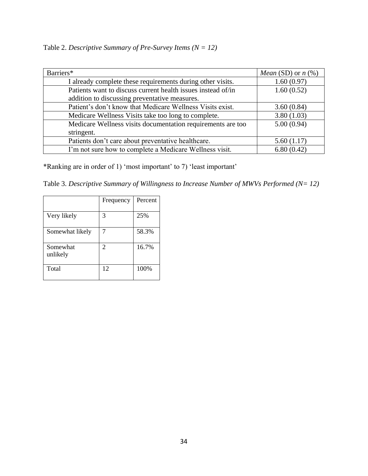Table 2. *Descriptive Summary of Pre-Survey Items (N = 12)*

| Barriers*                                                    | <i>Mean</i> (SD) or $n$ (%) |
|--------------------------------------------------------------|-----------------------------|
| I already complete these requirements during other visits.   | 1.60(0.97)                  |
| Patients want to discuss current health issues instead of/in | 1.60(0.52)                  |
| addition to discussing preventative measures.                |                             |
| Patient's don't know that Medicare Wellness Visits exist.    | 3.60(0.84)                  |
| Medicare Wellness Visits take too long to complete.          | 3.80(1.03)                  |
| Medicare Wellness visits documentation requirements are too  | 5.00(0.94)                  |
| stringent.                                                   |                             |
| Patients don't care about preventative healthcare.           | 5.60(1.17)                  |
| I'm not sure how to complete a Medicare Wellness visit.      | 6.80(0.42)                  |

\*Ranking are in order of 1) 'most important' to 7) 'least important'

Table 3. *Descriptive Summary of Willingness to Increase Number of MWVs Performed (N= 12)*

|                      | Frequency | Percent |
|----------------------|-----------|---------|
| Very likely          | 3         | 25%     |
| Somewhat likely      | 7         | 58.3%   |
| Somewhat<br>unlikely | 2         | 16.7%   |
| Total                | 12        | 100%    |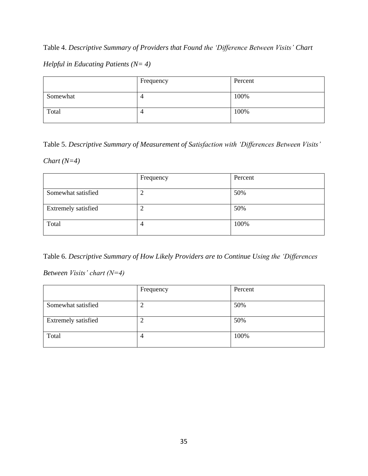# Table 4. *Descriptive Summary of Providers that Found the 'Difference Between Visits' Chart*

## *Helpful in Educating Patients (N= 4)*

|          | Frequency | Percent |
|----------|-----------|---------|
| Somewhat | ◢<br>┑    | 100%    |
| Total    | 4         | 100%    |

Table 5. *Descriptive Summary of Measurement of Satisfaction with 'Differences Between Visits'* 

### *Chart (N=4)*

|                     | Frequency | Percent |
|---------------------|-----------|---------|
| Somewhat satisfied  |           | 50%     |
| Extremely satisfied | ∠         | 50%     |
| Total               | 4         | 100%    |

Table 6. *Descriptive Summary of How Likely Providers are to Continue Using the 'Differences* 

*Between Visits' chart (N=4)*

|                     | Frequency | Percent |
|---------------------|-----------|---------|
| Somewhat satisfied  | ာ         | 50%     |
| Extremely satisfied | ာ<br>↵    | 50%     |
| Total               | 4         | 100%    |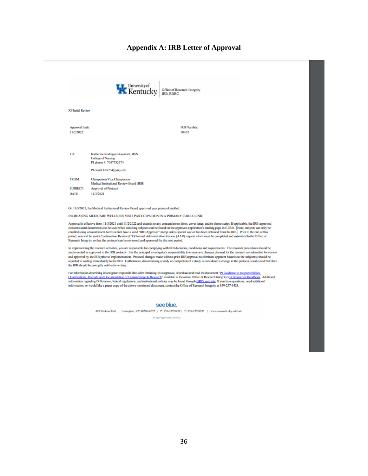### **Appendix A: IRB Letter of Approval**



In implementing the research activities, you are responsible for complying with IRB decisions, conditions and requirements. The research procedures should be implemented as approved in the IRB protocol. It is the principal investigator's responsibility to ensure any changes planned for the research are submitted for review and approval by the IRB prior to implementation. Protocol changes made without prior IRB approval to eliminate apparent hazards to the subject(s) should be reported in writing immediately to the IRB. Furthermore, discontinuing a study or completion of a study is considered a change in the protocol's status and therefore the IRB should be promptly notified in writing.

For information describing investigator responsibilities after obtaining IRB approval, download and read the document "PI Guidance to Respo Qualifications, Records and Documentation of Human Subjects Research" available in the online Office of Research Integrity's JRB Survival Handbook. Additional information regarding IRB review, federal regulations, and inst information, or would like a paper copy of the above mentioned document, contact the Office of Research Integrity at 859-257-9428.

#### see blue.

405 Kinkead Hall | Lexington, KY 40506-0057 | P: 859-257-9428 | P: 859-257-8995 | www.research.uky.edu/ori/

An Equal Opp sky List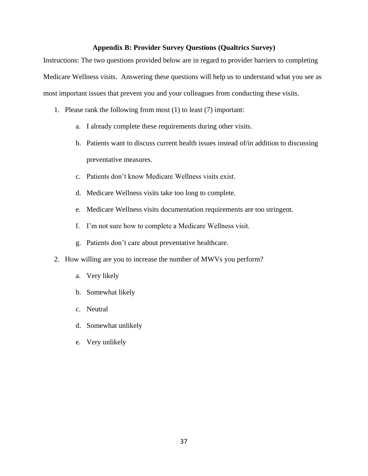### **Appendix B: Provider Survey Questions (Qualtrics Survey)**

Instructions: The two questions provided below are in regard to provider barriers to completing Medicare Wellness visits. Answering these questions will help us to understand what you see as most important issues that prevent you and your colleagues from conducting these visits.

- 1. Please rank the following from most (1) to least (7) important:
	- a. I already complete these requirements during other visits.
	- b. Patients want to discuss current health issues instead of/in addition to discussing preventative measures.
	- c. Patients don't know Medicare Wellness visits exist.
	- d. Medicare Wellness visits take too long to complete.
	- e. Medicare Wellness visits documentation requirements are too stringent.
	- f. I'm not sure how to complete a Medicare Wellness visit.
	- g. Patients don't care about preventative healthcare.
- 2. How willing are you to increase the number of MWVs you perform?
	- a. Very likely
	- b. Somewhat likely
	- c. Neutral
	- d. Somewhat unlikely
	- e. Very unlikely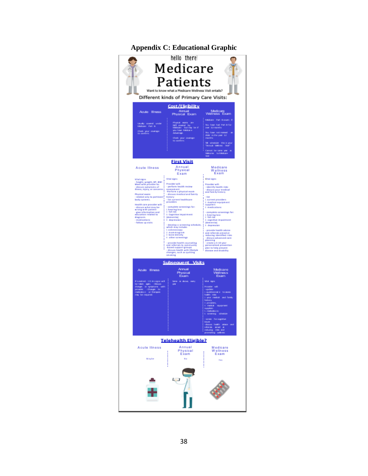